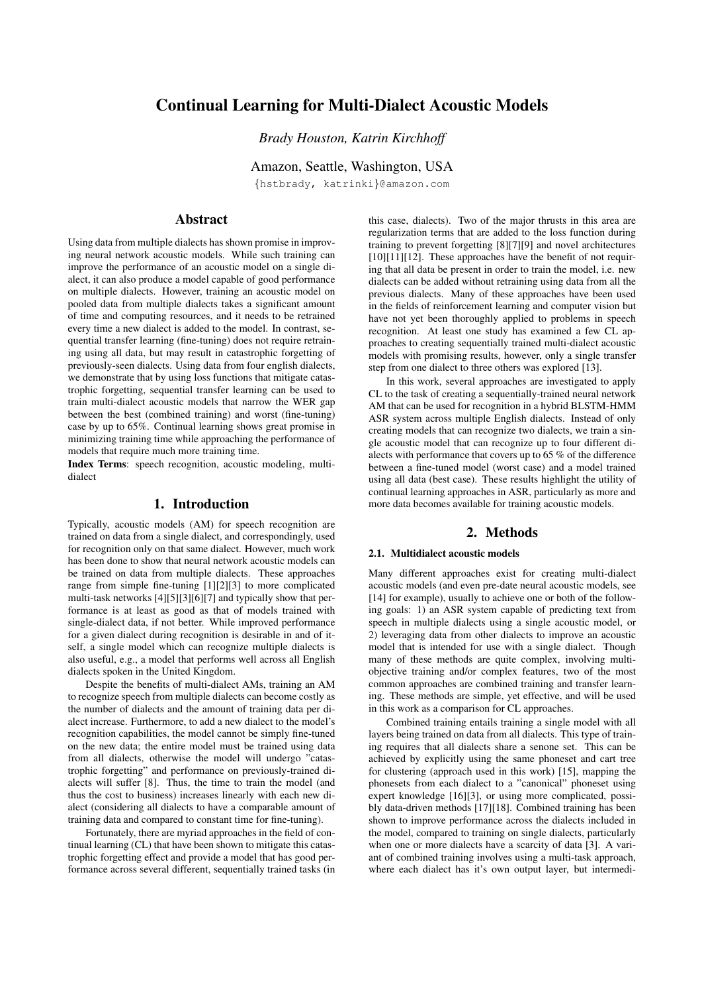# Continual Learning for Multi-Dialect Acoustic Models

*Brady Houston, Katrin Kirchhoff*

Amazon, Seattle, Washington, USA

{hstbrady, katrinki}@amazon.com

# Abstract

Using data from multiple dialects has shown promise in improving neural network acoustic models. While such training can improve the performance of an acoustic model on a single dialect, it can also produce a model capable of good performance on multiple dialects. However, training an acoustic model on pooled data from multiple dialects takes a significant amount of time and computing resources, and it needs to be retrained every time a new dialect is added to the model. In contrast, sequential transfer learning (fine-tuning) does not require retraining using all data, but may result in catastrophic forgetting of previously-seen dialects. Using data from four english dialects, we demonstrate that by using loss functions that mitigate catastrophic forgetting, sequential transfer learning can be used to train multi-dialect acoustic models that narrow the WER gap between the best (combined training) and worst (fine-tuning) case by up to 65%. Continual learning shows great promise in minimizing training time while approaching the performance of models that require much more training time.

Index Terms: speech recognition, acoustic modeling, multidialect

# 1. Introduction

Typically, acoustic models (AM) for speech recognition are trained on data from a single dialect, and correspondingly, used for recognition only on that same dialect. However, much work has been done to show that neural network acoustic models can be trained on data from multiple dialects. These approaches range from simple fine-tuning [1][2][3] to more complicated multi-task networks [4][5][3][6][7] and typically show that performance is at least as good as that of models trained with single-dialect data, if not better. While improved performance for a given dialect during recognition is desirable in and of itself, a single model which can recognize multiple dialects is also useful, e.g., a model that performs well across all English dialects spoken in the United Kingdom.

Despite the benefits of multi-dialect AMs, training an AM to recognize speech from multiple dialects can become costly as the number of dialects and the amount of training data per dialect increase. Furthermore, to add a new dialect to the model's recognition capabilities, the model cannot be simply fine-tuned on the new data; the entire model must be trained using data from all dialects, otherwise the model will undergo "catastrophic forgetting" and performance on previously-trained dialects will suffer [8]. Thus, the time to train the model (and thus the cost to business) increases linearly with each new dialect (considering all dialects to have a comparable amount of training data and compared to constant time for fine-tuning).

Fortunately, there are myriad approaches in the field of continual learning (CL) that have been shown to mitigate this catastrophic forgetting effect and provide a model that has good performance across several different, sequentially trained tasks (in this case, dialects). Two of the major thrusts in this area are regularization terms that are added to the loss function during training to prevent forgetting [8][7][9] and novel architectures [10][11][12]. These approaches have the benefit of not requiring that all data be present in order to train the model, i.e. new dialects can be added without retraining using data from all the previous dialects. Many of these approaches have been used in the fields of reinforcement learning and computer vision but have not yet been thoroughly applied to problems in speech recognition. At least one study has examined a few CL approaches to creating sequentially trained multi-dialect acoustic models with promising results, however, only a single transfer step from one dialect to three others was explored [13].

In this work, several approaches are investigated to apply CL to the task of creating a sequentially-trained neural network AM that can be used for recognition in a hybrid BLSTM-HMM ASR system across multiple English dialects. Instead of only creating models that can recognize two dialects, we train a single acoustic model that can recognize up to four different dialects with performance that covers up to 65 % of the difference between a fine-tuned model (worst case) and a model trained using all data (best case). These results highlight the utility of continual learning approaches in ASR, particularly as more and more data becomes available for training acoustic models.

# 2. Methods

### 2.1. Multidialect acoustic models

Many different approaches exist for creating multi-dialect acoustic models (and even pre-date neural acoustic models, see [14] for example), usually to achieve one or both of the following goals: 1) an ASR system capable of predicting text from speech in multiple dialects using a single acoustic model, or 2) leveraging data from other dialects to improve an acoustic model that is intended for use with a single dialect. Though many of these methods are quite complex, involving multiobjective training and/or complex features, two of the most common approaches are combined training and transfer learning. These methods are simple, yet effective, and will be used in this work as a comparison for CL approaches.

Combined training entails training a single model with all layers being trained on data from all dialects. This type of training requires that all dialects share a senone set. This can be achieved by explicitly using the same phoneset and cart tree for clustering (approach used in this work) [15], mapping the phonesets from each dialect to a "canonical" phoneset using expert knowledge [16][3], or using more complicated, possibly data-driven methods [17][18]. Combined training has been shown to improve performance across the dialects included in the model, compared to training on single dialects, particularly when one or more dialects have a scarcity of data [3]. A variant of combined training involves using a multi-task approach, where each dialect has it's own output layer, but intermedi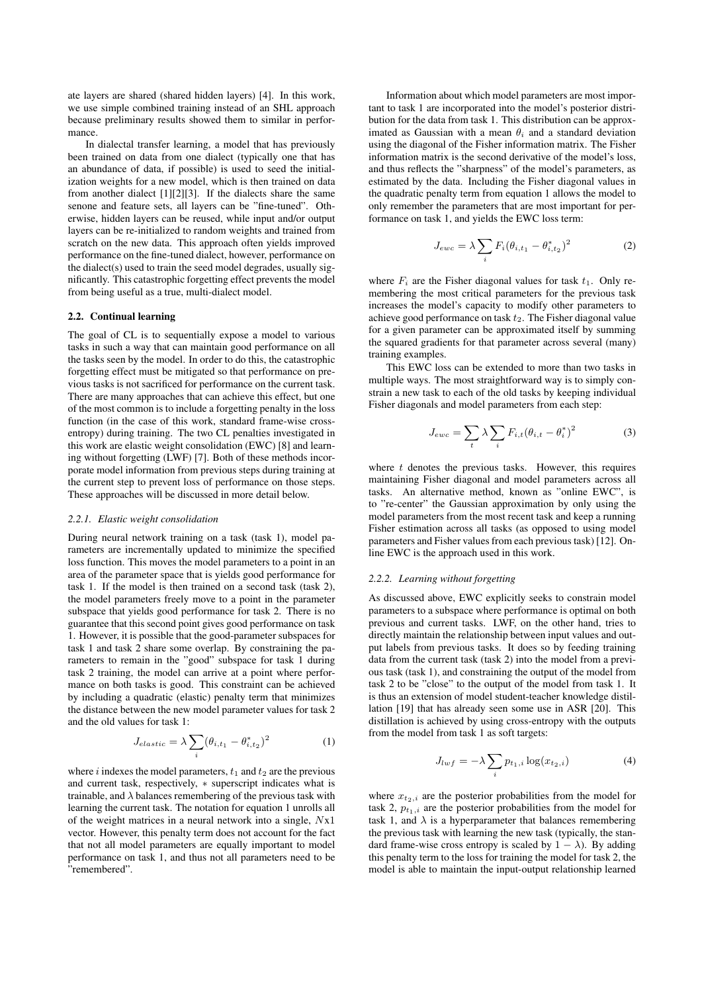ate layers are shared (shared hidden layers) [4]. In this work, we use simple combined training instead of an SHL approach because preliminary results showed them to similar in performance.

In dialectal transfer learning, a model that has previously been trained on data from one dialect (typically one that has an abundance of data, if possible) is used to seed the initialization weights for a new model, which is then trained on data from another dialect [1][2][3]. If the dialects share the same senone and feature sets, all layers can be "fine-tuned". Otherwise, hidden layers can be reused, while input and/or output layers can be re-initialized to random weights and trained from scratch on the new data. This approach often yields improved performance on the fine-tuned dialect, however, performance on the dialect(s) used to train the seed model degrades, usually significantly. This catastrophic forgetting effect prevents the model from being useful as a true, multi-dialect model.

#### 2.2. Continual learning

The goal of CL is to sequentially expose a model to various tasks in such a way that can maintain good performance on all the tasks seen by the model. In order to do this, the catastrophic forgetting effect must be mitigated so that performance on previous tasks is not sacrificed for performance on the current task. There are many approaches that can achieve this effect, but one of the most common is to include a forgetting penalty in the loss function (in the case of this work, standard frame-wise crossentropy) during training. The two CL penalties investigated in this work are elastic weight consolidation (EWC) [8] and learning without forgetting (LWF) [7]. Both of these methods incorporate model information from previous steps during training at the current step to prevent loss of performance on those steps. These approaches will be discussed in more detail below.

#### *2.2.1. Elastic weight consolidation*

During neural network training on a task (task 1), model parameters are incrementally updated to minimize the specified loss function. This moves the model parameters to a point in an area of the parameter space that is yields good performance for task 1. If the model is then trained on a second task (task 2), the model parameters freely move to a point in the parameter subspace that yields good performance for task 2. There is no guarantee that this second point gives good performance on task 1. However, it is possible that the good-parameter subspaces for task 1 and task 2 share some overlap. By constraining the parameters to remain in the "good" subspace for task 1 during task 2 training, the model can arrive at a point where performance on both tasks is good. This constraint can be achieved by including a quadratic (elastic) penalty term that minimizes the distance between the new model parameter values for task 2 and the old values for task 1:

$$
J_{elastic} = \lambda \sum_{i} (\theta_{i,t_1} - \theta_{i,t_2}^*)^2
$$
 (1)

where i indexes the model parameters,  $t_1$  and  $t_2$  are the previous and current task, respectively,  $*$  superscript indicates what is trainable, and  $\lambda$  balances remembering of the previous task with learning the current task. The notation for equation 1 unrolls all of the weight matrices in a neural network into a single, Nx1 vector. However, this penalty term does not account for the fact that not all model parameters are equally important to model performance on task 1, and thus not all parameters need to be "remembered".

Information about which model parameters are most important to task 1 are incorporated into the model's posterior distribution for the data from task 1. This distribution can be approximated as Gaussian with a mean  $\theta_i$  and a standard deviation using the diagonal of the Fisher information matrix. The Fisher information matrix is the second derivative of the model's loss, and thus reflects the "sharpness" of the model's parameters, as estimated by the data. Including the Fisher diagonal values in the quadratic penalty term from equation 1 allows the model to only remember the parameters that are most important for performance on task 1, and yields the EWC loss term:

$$
J_{ewc} = \lambda \sum_{i} F_i (\theta_{i,t_1} - \theta_{i,t_2}^*)^2
$$
 (2)

where  $F_i$  are the Fisher diagonal values for task  $t_1$ . Only remembering the most critical parameters for the previous task increases the model's capacity to modify other parameters to achieve good performance on task  $t_2$ . The Fisher diagonal value for a given parameter can be approximated itself by summing the squared gradients for that parameter across several (many) training examples.

This EWC loss can be extended to more than two tasks in multiple ways. The most straightforward way is to simply constrain a new task to each of the old tasks by keeping individual Fisher diagonals and model parameters from each step:

$$
J_{ewc} = \sum_{t} \lambda \sum_{i} F_{i,t} (\theta_{i,t} - \theta_i^*)^2
$$
 (3)

where  $t$  denotes the previous tasks. However, this requires maintaining Fisher diagonal and model parameters across all tasks. An alternative method, known as "online EWC", is to "re-center" the Gaussian approximation by only using the model parameters from the most recent task and keep a running Fisher estimation across all tasks (as opposed to using model parameters and Fisher values from each previous task) [12]. Online EWC is the approach used in this work.

#### *2.2.2. Learning without forgetting*

As discussed above, EWC explicitly seeks to constrain model parameters to a subspace where performance is optimal on both previous and current tasks. LWF, on the other hand, tries to directly maintain the relationship between input values and output labels from previous tasks. It does so by feeding training data from the current task (task 2) into the model from a previous task (task 1), and constraining the output of the model from task 2 to be "close" to the output of the model from task 1. It is thus an extension of model student-teacher knowledge distillation [19] that has already seen some use in ASR [20]. This distillation is achieved by using cross-entropy with the outputs from the model from task 1 as soft targets:

$$
J_{lwf} = -\lambda \sum_{i} p_{t_1,i} \log(x_{t_2,i})
$$
\n(4)

where  $x_{t_2,i}$  are the posterior probabilities from the model for task 2,  $p_{t_1,i}$  are the posterior probabilities from the model for task 1, and  $\lambda$  is a hyperparameter that balances remembering the previous task with learning the new task (typically, the standard frame-wise cross entropy is scaled by  $1 - \lambda$ ). By adding this penalty term to the loss for training the model for task 2, the model is able to maintain the input-output relationship learned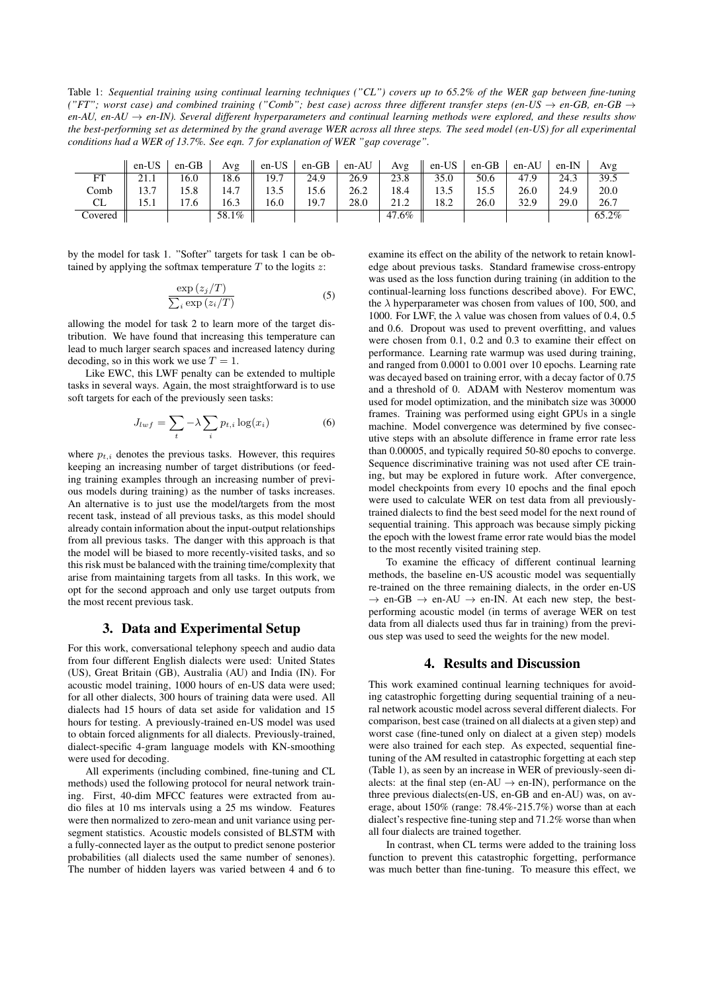Table 1: *Sequential training using continual learning techniques ("CL") covers up to 65.2% of the WER gap between fine-tuning ("FT"; worst case) and combined training ("Comb"; best case) across three different transfer steps (en-US*  $\rightarrow$  *en-GB, en-GB*  $\rightarrow$ *en-AU, en-AU* → *en-IN). Several different hyperparameters and continual learning methods were explored, and these results show the best-performing set as determined by the grand average WER across all three steps. The seed model (en-US) for all experimental conditions had a WER of 13.7%. See eqn. 7 for explanation of WER "gap coverage".*

|         | $en-US$ | $en-GB$ | Avg   | $\parallel$ en-US | en-GB | en-AU | Avg   | en-US | en-GB | en-AU | $en-IN$ | Avg   |
|---------|---------|---------|-------|-------------------|-------|-------|-------|-------|-------|-------|---------|-------|
| FT      | 21.1    | 16.0    | 18.6  | 19.7              | 24.9  | 26.9  | 23.8  | 35.0  | 50.6  | 47.9  | 24.3    | 39.5  |
| Comb    | 13.7    | 15.8    | 14.7  | 13.5              | 15.6  | 26.2  | 18.4  | 13.5  | 15.5  | 26.0  | 24.9    | 20.0  |
| CL      | 15.1    | 17.6    | 16.3  | 16.0              | 19.7  | 28.0  | 21.2  | 18.2  | 26.0  | 32.9  | 29.0    | 26.7  |
| Covered |         |         | 58.1% |                   |       |       | 47.6% |       |       |       |         | 65.2% |

by the model for task 1. "Softer" targets for task 1 can be obtained by applying the softmax temperature  $T$  to the logits  $z$ :

$$
\frac{\exp\left(z_j/T\right)}{\sum_i \exp\left(z_i/T\right)}\tag{5}
$$

allowing the model for task 2 to learn more of the target distribution. We have found that increasing this temperature can lead to much larger search spaces and increased latency during decoding, so in this work we use  $T = 1$ .

Like EWC, this LWF penalty can be extended to multiple tasks in several ways. Again, the most straightforward is to use soft targets for each of the previously seen tasks:

$$
J_{lwf} = \sum_{t} -\lambda \sum_{i} p_{t,i} \log(x_i)
$$
 (6)

where  $p_{t,i}$  denotes the previous tasks. However, this requires keeping an increasing number of target distributions (or feeding training examples through an increasing number of previous models during training) as the number of tasks increases. An alternative is to just use the model/targets from the most recent task, instead of all previous tasks, as this model should already contain information about the input-output relationships from all previous tasks. The danger with this approach is that the model will be biased to more recently-visited tasks, and so this risk must be balanced with the training time/complexity that arise from maintaining targets from all tasks. In this work, we opt for the second approach and only use target outputs from the most recent previous task.

# 3. Data and Experimental Setup

For this work, conversational telephony speech and audio data from four different English dialects were used: United States (US), Great Britain (GB), Australia (AU) and India (IN). For acoustic model training, 1000 hours of en-US data were used; for all other dialects, 300 hours of training data were used. All dialects had 15 hours of data set aside for validation and 15 hours for testing. A previously-trained en-US model was used to obtain forced alignments for all dialects. Previously-trained, dialect-specific 4-gram language models with KN-smoothing were used for decoding.

All experiments (including combined, fine-tuning and CL methods) used the following protocol for neural network training. First, 40-dim MFCC features were extracted from audio files at 10 ms intervals using a 25 ms window. Features were then normalized to zero-mean and unit variance using persegment statistics. Acoustic models consisted of BLSTM with a fully-connected layer as the output to predict senone posterior probabilities (all dialects used the same number of senones). The number of hidden layers was varied between 4 and 6 to examine its effect on the ability of the network to retain knowledge about previous tasks. Standard framewise cross-entropy was used as the loss function during training (in addition to the continual-learning loss functions described above). For EWC, the  $\lambda$  hyperparameter was chosen from values of 100, 500, and 1000. For LWF, the  $\lambda$  value was chosen from values of 0.4, 0.5 and 0.6. Dropout was used to prevent overfitting, and values were chosen from 0.1, 0.2 and 0.3 to examine their effect on performance. Learning rate warmup was used during training, and ranged from 0.0001 to 0.001 over 10 epochs. Learning rate was decayed based on training error, with a decay factor of 0.75 and a threshold of 0. ADAM with Nesterov momentum was used for model optimization, and the minibatch size was 30000 frames. Training was performed using eight GPUs in a single machine. Model convergence was determined by five consecutive steps with an absolute difference in frame error rate less than 0.00005, and typically required 50-80 epochs to converge. Sequence discriminative training was not used after CE training, but may be explored in future work. After convergence, model checkpoints from every 10 epochs and the final epoch were used to calculate WER on test data from all previouslytrained dialects to find the best seed model for the next round of sequential training. This approach was because simply picking the epoch with the lowest frame error rate would bias the model to the most recently visited training step.

To examine the efficacy of different continual learning methods, the baseline en-US acoustic model was sequentially re-trained on the three remaining dialects, in the order en-US  $\rightarrow$  en-GB  $\rightarrow$  en-AU  $\rightarrow$  en-IN. At each new step, the bestperforming acoustic model (in terms of average WER on test data from all dialects used thus far in training) from the previous step was used to seed the weights for the new model.

### 4. Results and Discussion

This work examined continual learning techniques for avoiding catastrophic forgetting during sequential training of a neural network acoustic model across several different dialects. For comparison, best case (trained on all dialects at a given step) and worst case (fine-tuned only on dialect at a given step) models were also trained for each step. As expected, sequential finetuning of the AM resulted in catastrophic forgetting at each step (Table 1), as seen by an increase in WER of previously-seen dialects: at the final step (en-AU  $\rightarrow$  en-IN), performance on the three previous dialects(en-US, en-GB and en-AU) was, on average, about 150% (range: 78.4%-215.7%) worse than at each dialect's respective fine-tuning step and 71.2% worse than when all four dialects are trained together.

In contrast, when CL terms were added to the training loss function to prevent this catastrophic forgetting, performance was much better than fine-tuning. To measure this effect, we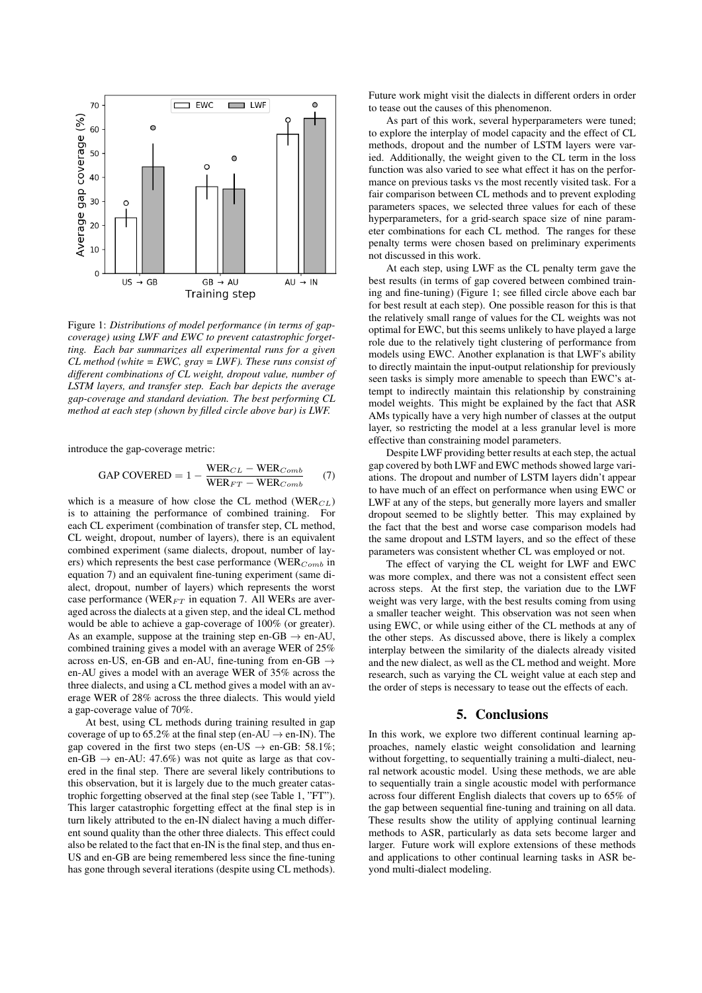

Figure 1: *Distributions of model performance (in terms of gapcoverage) using LWF and EWC to prevent catastrophic forgetting. Each bar summarizes all experimental runs for a given CL method (white = EWC, gray = LWF). These runs consist of different combinations of CL weight, dropout value, number of LSTM layers, and transfer step. Each bar depicts the average gap-coverage and standard deviation. The best performing CL method at each step (shown by filled circle above bar) is LWF.*

introduce the gap-coverage metric:

$$
GAP \text{ COVERED} = 1 - \frac{\text{WER}_{CL} - \text{WER}_{Comb}}{\text{WER}_{FT} - \text{WER}_{Comb}} \tag{7}
$$

which is a measure of how close the CL method ( $WER_{CL}$ ) is to attaining the performance of combined training. For each CL experiment (combination of transfer step, CL method, CL weight, dropout, number of layers), there is an equivalent combined experiment (same dialects, dropout, number of layers) which represents the best case performance (WER $_{Comb}$  in equation 7) and an equivalent fine-tuning experiment (same dialect, dropout, number of layers) which represents the worst case performance (WER $_{FT}$  in equation 7. All WERs are averaged across the dialects at a given step, and the ideal CL method would be able to achieve a gap-coverage of 100% (or greater). As an example, suppose at the training step en-GB  $\rightarrow$  en-AU, combined training gives a model with an average WER of 25% across en-US, en-GB and en-AU, fine-tuning from en-GB  $\rightarrow$ en-AU gives a model with an average WER of 35% across the three dialects, and using a CL method gives a model with an average WER of 28% across the three dialects. This would yield a gap-coverage value of 70%.

At best, using CL methods during training resulted in gap coverage of up to 65.2% at the final step (en-AU  $\rightarrow$  en-IN). The gap covered in the first two steps (en-US  $\rightarrow$  en-GB: 58.1%; en-GB  $\rightarrow$  en-AU: 47.6%) was not quite as large as that covered in the final step. There are several likely contributions to this observation, but it is largely due to the much greater catastrophic forgetting observed at the final step (see Table 1, "FT"). This larger catastrophic forgetting effect at the final step is in turn likely attributed to the en-IN dialect having a much different sound quality than the other three dialects. This effect could also be related to the fact that en-IN is the final step, and thus en-US and en-GB are being remembered less since the fine-tuning has gone through several iterations (despite using CL methods).

Future work might visit the dialects in different orders in order to tease out the causes of this phenomenon.

As part of this work, several hyperparameters were tuned; to explore the interplay of model capacity and the effect of CL methods, dropout and the number of LSTM layers were varied. Additionally, the weight given to the CL term in the loss function was also varied to see what effect it has on the performance on previous tasks vs the most recently visited task. For a fair comparison between CL methods and to prevent exploding parameters spaces, we selected three values for each of these hyperparameters, for a grid-search space size of nine parameter combinations for each CL method. The ranges for these penalty terms were chosen based on preliminary experiments not discussed in this work.

At each step, using LWF as the CL penalty term gave the best results (in terms of gap covered between combined training and fine-tuning) (Figure 1; see filled circle above each bar for best result at each step). One possible reason for this is that the relatively small range of values for the CL weights was not optimal for EWC, but this seems unlikely to have played a large role due to the relatively tight clustering of performance from models using EWC. Another explanation is that LWF's ability to directly maintain the input-output relationship for previously seen tasks is simply more amenable to speech than EWC's attempt to indirectly maintain this relationship by constraining model weights. This might be explained by the fact that ASR AMs typically have a very high number of classes at the output layer, so restricting the model at a less granular level is more effective than constraining model parameters.

Despite LWF providing better results at each step, the actual gap covered by both LWF and EWC methods showed large variations. The dropout and number of LSTM layers didn't appear to have much of an effect on performance when using EWC or LWF at any of the steps, but generally more layers and smaller dropout seemed to be slightly better. This may explained by the fact that the best and worse case comparison models had the same dropout and LSTM layers, and so the effect of these parameters was consistent whether CL was employed or not.

The effect of varying the CL weight for LWF and EWC was more complex, and there was not a consistent effect seen across steps. At the first step, the variation due to the LWF weight was very large, with the best results coming from using a smaller teacher weight. This observation was not seen when using EWC, or while using either of the CL methods at any of the other steps. As discussed above, there is likely a complex interplay between the similarity of the dialects already visited and the new dialect, as well as the CL method and weight. More research, such as varying the CL weight value at each step and the order of steps is necessary to tease out the effects of each.

# 5. Conclusions

In this work, we explore two different continual learning approaches, namely elastic weight consolidation and learning without forgetting, to sequentially training a multi-dialect, neural network acoustic model. Using these methods, we are able to sequentially train a single acoustic model with performance across four different English dialects that covers up to 65% of the gap between sequential fine-tuning and training on all data. These results show the utility of applying continual learning methods to ASR, particularly as data sets become larger and larger. Future work will explore extensions of these methods and applications to other continual learning tasks in ASR beyond multi-dialect modeling.